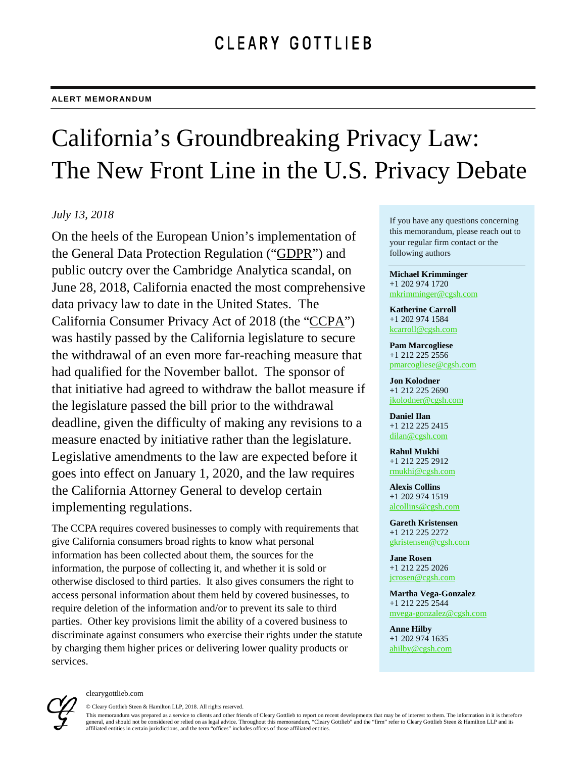## California's Groundbreaking Privacy Law: The New Front Line in the U.S. Privacy Debate

## *July 13, 2018*

On the heels of the European Union's implementation of the General Data Protection Regulation ("GDPR") and public outcry over the Cambridge Analytica scandal, on June 28, 2018, California enacted the most comprehensive data privacy law to date in the United States. The California Consumer Privacy Act of 2018 (the "CCPA") was hastily passed by the California legislature to secure the withdrawal of an even more far-reaching measure that had qualified for the November ballot. The sponsor of that initiative had agreed to withdraw the ballot measure if the legislature passed the bill prior to the withdrawal deadline, given the difficulty of making any revisions to a measure enacted by initiative rather than the legislature. Legislative amendments to the law are expected before it goes into effect on January 1, 2020, and the law requires the California Attorney General to develop certain implementing regulations.

The CCPA requires covered businesses to comply with requirements that give California consumers broad rights to know what personal information has been collected about them, the sources for the information, the purpose of collecting it, and whether it is sold or otherwise disclosed to third parties. It also gives consumers the right to access personal information about them held by covered businesses, to require deletion of the information and/or to prevent its sale to third parties. Other key provisions limit the ability of a covered business to discriminate against consumers who exercise their rights under the statute by charging them higher prices or delivering lower quality products or services.

If you have any questions concerning this memorandum, please reach out to your regular firm contact or the following authors

**Michael Krimminger** +1 202 974 1720 [mkrimminger@cgsh.com](mailto:mkrimminger@cgsh.com)

**Katherine Carroll** +1 202 974 1584 [kcarroll@cgsh.com](mailto:kcarroll@cgsh.com)

**Pam Marcogliese** +1 212 225 2556 [pmarcogliese@cgsh.com](mailto:pmarcogliese@cgsh.com)

**Jon Kolodner** +1 212 225 2690 [jkolodner@cgsh.com](mailto:jkolodner@cgsh.com)

**Daniel Ilan** +1 212 225 2415 [dilan@cgsh.com](mailto:dilan@cgsh.com)

**Rahul Mukhi** +1 212 225 2912 [rmukhi@cgsh.com](mailto:rmukhi@cgsh.com)

**Alexis Collins** +1 202 974 1519 [alcollins@cgsh.com](mailto:alcollins@cgsh.com)

**Gareth Kristensen** +1 212 225 2272 [gkristensen@cgsh.com](mailto:gkristensen@cgsh.com)

**Jane Rosen** +1 212 225 2026 [jcrosen@cgsh.com](mailto:jcrosen@cgsh.com)

**Martha Vega-Gonzalez** +1 212 225 2544 [mvega-gonzalez@cgsh.com](mailto:mvega-gonzalez@cgsh.com)

**Anne Hilby** +1 202 974 1635 [ahilby@cgsh.com](mailto:ahilby@cgsh.com)



© Cleary Gottlieb Steen & Hamilton LLP, 2018. All rights reserved. This memorandum was prepared as a service to clients and other friends of Cleary Gottlieb to report on recent developments that may be of interest to them. The information in it is therefore general, and should not be considered or relied on as legal advice. Throughout this memorandum, "Cleary Gottlieb" and the "firm" refer to Cleary Gottlieb Steen & Hamilton LLP and its affiliated entities in certain jurisdictions, and the term "offices" includes offices of those affiliated entities.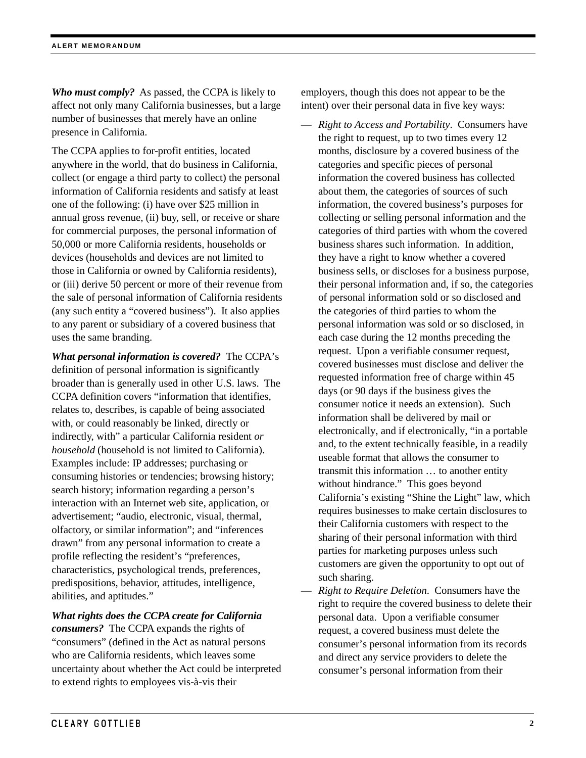*Who must comply?* As passed, the CCPA is likely to affect not only many California businesses, but a large number of businesses that merely have an online presence in California.

The CCPA applies to for-profit entities, located anywhere in the world, that do business in California, collect (or engage a third party to collect) the personal information of California residents and satisfy at least one of the following: (i) have over \$25 million in annual gross revenue, (ii) buy, sell, or receive or share for commercial purposes, the personal information of 50,000 or more California residents, households or devices (households and devices are not limited to those in California or owned by California residents), or (iii) derive 50 percent or more of their revenue from the sale of personal information of California residents (any such entity a "covered business"). It also applies to any parent or subsidiary of a covered business that uses the same branding.

*What personal information is covered?* The CCPA's definition of personal information is significantly broader than is generally used in other U.S. laws. The CCPA definition covers "information that identifies, relates to, describes, is capable of being associated with, or could reasonably be linked, directly or indirectly, with" a particular California resident *or household* (household is not limited to California). Examples include: IP addresses; purchasing or consuming histories or tendencies; browsing history; search history; information regarding a person's interaction with an Internet web site, application, or advertisement; "audio, electronic, visual, thermal, olfactory, or similar information"; and "inferences drawn" from any personal information to create a profile reflecting the resident's "preferences, characteristics, psychological trends, preferences, predispositions, behavior, attitudes, intelligence, abilities, and aptitudes."

*What rights does the CCPA create for California consumers?* The CCPA expands the rights of "consumers" (defined in the Act as natural persons who are California residents, which leaves some uncertainty about whether the Act could be interpreted to extend rights to employees vis-à-vis their

employers, though this does not appear to be the intent) over their personal data in five key ways:

- *Right to Access and Portability*. Consumers have the right to request, up to two times every 12 months, disclosure by a covered business of the categories and specific pieces of personal information the covered business has collected about them, the categories of sources of such information, the covered business's purposes for collecting or selling personal information and the categories of third parties with whom the covered business shares such information. In addition, they have a right to know whether a covered business sells, or discloses for a business purpose, their personal information and, if so, the categories of personal information sold or so disclosed and the categories of third parties to whom the personal information was sold or so disclosed, in each case during the 12 months preceding the request. Upon a verifiable consumer request, covered businesses must disclose and deliver the requested information free of charge within 45 days (or 90 days if the business gives the consumer notice it needs an extension). Such information shall be delivered by mail or electronically, and if electronically, "in a portable and, to the extent technically feasible, in a readily useable format that allows the consumer to transmit this information … to another entity without hindrance." This goes beyond California's existing "Shine the Light" law, which requires businesses to make certain disclosures to their California customers with respect to the sharing of their personal information with third parties for marketing purposes unless such customers are given the opportunity to opt out of such sharing.
- *Right to Require Deletion*. Consumers have the right to require the covered business to delete their personal data. Upon a verifiable consumer request, a covered business must delete the consumer's personal information from its records and direct any service providers to delete the consumer's personal information from their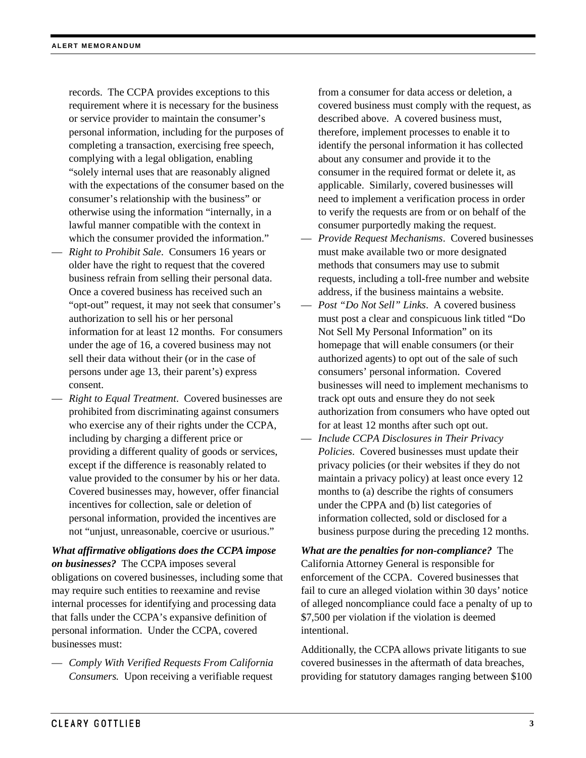records. The CCPA provides exceptions to this requirement where it is necessary for the business or service provider to maintain the consumer's personal information, including for the purposes of completing a transaction, exercising free speech, complying with a legal obligation, enabling "solely internal uses that are reasonably aligned with the expectations of the consumer based on the consumer's relationship with the business" or otherwise using the information "internally, in a lawful manner compatible with the context in which the consumer provided the information."

- *Right to Prohibit Sale*. Consumers 16 years or older have the right to request that the covered business refrain from selling their personal data. Once a covered business has received such an "opt-out" request, it may not seek that consumer's authorization to sell his or her personal information for at least 12 months. For consumers under the age of 16, a covered business may not sell their data without their (or in the case of persons under age 13, their parent's) express consent.
- *Right to Equal Treatment*. Covered businesses are prohibited from discriminating against consumers who exercise any of their rights under the CCPA, including by charging a different price or providing a different quality of goods or services, except if the difference is reasonably related to value provided to the consumer by his or her data. Covered businesses may, however, offer financial incentives for collection, sale or deletion of personal information, provided the incentives are not "unjust, unreasonable, coercive or usurious."

*What affirmative obligations does the CCPA impose on businesses?*The CCPA imposes several obligations on covered businesses, including some that may require such entities to reexamine and revise internal processes for identifying and processing data that falls under the CCPA's expansive definition of personal information. Under the CCPA, covered businesses must:

— *Comply With Verified Requests From California Consumers.* Upon receiving a verifiable request

from a consumer for data access or deletion, a covered business must comply with the request, as described above. A covered business must, therefore, implement processes to enable it to identify the personal information it has collected about any consumer and provide it to the consumer in the required format or delete it, as applicable. Similarly, covered businesses will need to implement a verification process in order to verify the requests are from or on behalf of the consumer purportedly making the request.

- *Provide Request Mechanisms*. Covered businesses must make available two or more designated methods that consumers may use to submit requests, including a toll-free number and website address, if the business maintains a website.
- *Post "Do Not Sell" Links*. A covered business must post a clear and conspicuous link titled "Do Not Sell My Personal Information" on its homepage that will enable consumers (or their authorized agents) to opt out of the sale of such consumers' personal information. Covered businesses will need to implement mechanisms to track opt outs and ensure they do not seek authorization from consumers who have opted out for at least 12 months after such opt out.
- *Include CCPA Disclosures in Their Privacy Policies*. Covered businesses must update their privacy policies (or their websites if they do not maintain a privacy policy) at least once every 12 months to (a) describe the rights of consumers under the CPPA and (b) list categories of information collected, sold or disclosed for a business purpose during the preceding 12 months.

*What are the penalties for non-compliance?* The California Attorney General is responsible for enforcement of the CCPA. Covered businesses that fail to cure an alleged violation within 30 days' notice of alleged noncompliance could face a penalty of up to \$7,500 per violation if the violation is deemed intentional.

Additionally, the CCPA allows private litigants to sue covered businesses in the aftermath of data breaches, providing for statutory damages ranging between \$100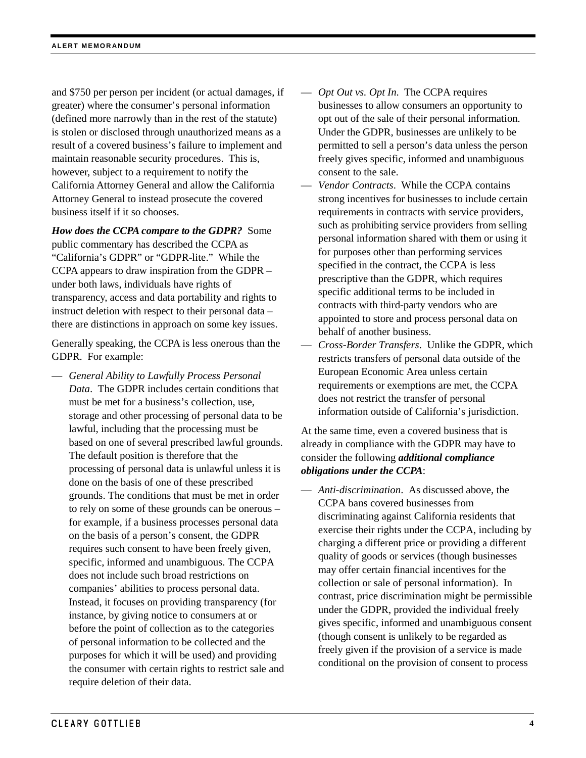and \$750 per person per incident (or actual damages, if greater) where the consumer's personal information (defined more narrowly than in the rest of the statute) is stolen or disclosed through unauthorized means as a result of a covered business's failure to implement and maintain reasonable security procedures. This is, however, subject to a requirement to notify the California Attorney General and allow the California Attorney General to instead prosecute the covered business itself if it so chooses.

*How does the CCPA compare to the GDPR?* Some public commentary has described the CCPA as "California's GDPR" or "GDPR-lite." While the CCPA appears to draw inspiration from the GDPR – under both laws, individuals have rights of transparency, access and data portability and rights to instruct deletion with respect to their personal data – there are distinctions in approach on some key issues.

Generally speaking, the CCPA is less onerous than the GDPR. For example:

— *General Ability to Lawfully Process Personal Data*. The GDPR includes certain conditions that must be met for a business's collection, use, storage and other processing of personal data to be lawful, including that the processing must be based on one of several prescribed lawful grounds. The default position is therefore that the processing of personal data is unlawful unless it is done on the basis of one of these prescribed grounds. The conditions that must be met in order to rely on some of these grounds can be onerous – for example, if a business processes personal data on the basis of a person's consent, the GDPR requires such consent to have been freely given, specific, informed and unambiguous. The CCPA does not include such broad restrictions on companies' abilities to process personal data. Instead, it focuses on providing transparency (for instance, by giving notice to consumers at or before the point of collection as to the categories of personal information to be collected and the purposes for which it will be used) and providing the consumer with certain rights to restrict sale and require deletion of their data.

- *Opt Out vs. Opt In*. The CCPA requires businesses to allow consumers an opportunity to opt out of the sale of their personal information. Under the GDPR, businesses are unlikely to be permitted to sell a person's data unless the person freely gives specific, informed and unambiguous consent to the sale.
- *Vendor Contracts*. While the CCPA contains strong incentives for businesses to include certain requirements in contracts with service providers, such as prohibiting service providers from selling personal information shared with them or using it for purposes other than performing services specified in the contract, the CCPA is less prescriptive than the GDPR, which requires specific additional terms to be included in contracts with third-party vendors who are appointed to store and process personal data on behalf of another business.
- *Cross-Border Transfers*. Unlike the GDPR, which restricts transfers of personal data outside of the European Economic Area unless certain requirements or exemptions are met, the CCPA does not restrict the transfer of personal information outside of California's jurisdiction.

At the same time, even a covered business that is already in compliance with the GDPR may have to consider the following *additional compliance obligations under the CCPA*:

— *Anti-discrimination*. As discussed above, the CCPA bans covered businesses from discriminating against California residents that exercise their rights under the CCPA, including by charging a different price or providing a different quality of goods or services (though businesses may offer certain financial incentives for the collection or sale of personal information). In contrast, price discrimination might be permissible under the GDPR, provided the individual freely gives specific, informed and unambiguous consent (though consent is unlikely to be regarded as freely given if the provision of a service is made conditional on the provision of consent to process